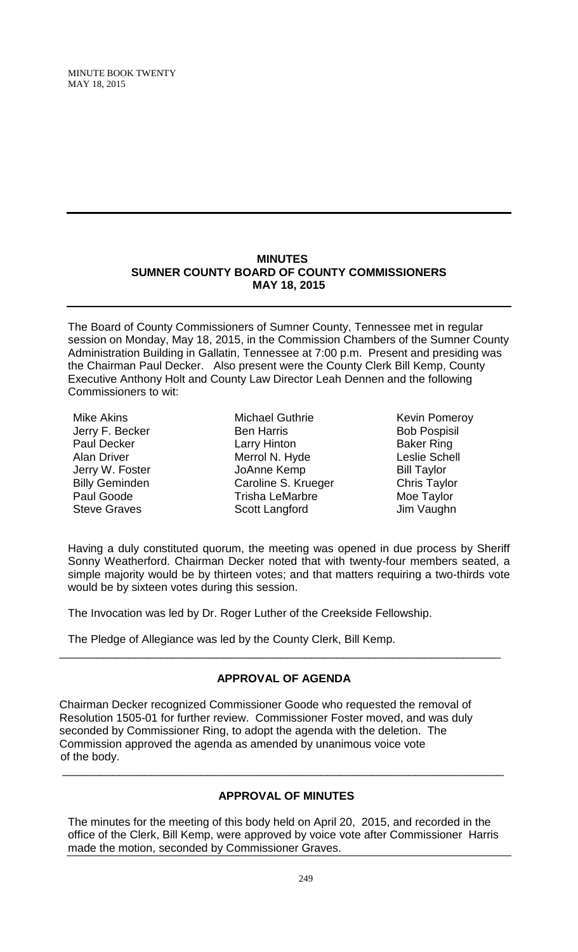MINUTE BOOK TWENTY MAY 18, 2015

#### **MINUTES SUMNER COUNTY BOARD OF COUNTY COMMISSIONERS MAY 18, 2015**

The Board of County Commissioners of Sumner County, Tennessee met in regular session on Monday, May 18, 2015, in the Commission Chambers of the Sumner County Administration Building in Gallatin, Tennessee at 7:00 p.m. Present and presiding was the Chairman Paul Decker. Also present were the County Clerk Bill Kemp, County Executive Anthony Holt and County Law Director Leah Dennen and the following Commissioners to wit:

- Mike Akins Jerry F. Becker Paul Decker Alan Driver Jerry W. Foster Billy Geminden Paul Goode Steve Graves
- Michael Guthrie Ben Harris Larry Hinton Merrol N. Hyde JoAnne Kemp Caroline S. Krueger Trisha LeMarbre Scott Langford
- Kevin Pomeroy Bob Pospisil Baker Ring Leslie Schell Bill Taylor Chris Taylor Moe Taylor Jim Vaughn

Having a duly constituted quorum, the meeting was opened in due process by Sheriff Sonny Weatherford. Chairman Decker noted that with twenty-four members seated, a simple majority would be by thirteen votes; and that matters requiring a two-thirds vote would be by sixteen votes during this session.

The Invocation was led by Dr. Roger Luther of the Creekside Fellowship.

The Pledge of Allegiance was led by the County Clerk, Bill Kemp.

# **APPROVAL OF AGENDA**

\_\_\_\_\_\_\_\_\_\_\_\_\_\_\_\_\_\_\_\_\_\_\_\_\_\_\_\_\_\_\_\_\_\_\_\_\_\_\_\_\_\_\_\_\_\_\_\_\_\_\_\_\_\_\_\_\_\_\_\_\_\_\_\_\_\_\_\_\_\_

Chairman Decker recognized Commissioner Goode who requested the removal of Resolution 1505-01 for further review. Commissioner Foster moved, and was duly seconded by Commissioner Ring, to adopt the agenda with the deletion. The Commission approved the agenda as amended by unanimous voice vote of the body.

# **APPROVAL OF MINUTES**

\_\_\_\_\_\_\_\_\_\_\_\_\_\_\_\_\_\_\_\_\_\_\_\_\_\_\_\_\_\_\_\_\_\_\_\_\_\_\_\_\_\_\_\_\_\_\_\_\_\_\_\_\_\_\_\_\_\_\_\_\_\_\_\_\_\_\_\_\_\_

The minutes for the meeting of this body held on April 20, 2015, and recorded in the office of the Clerk, Bill Kemp, were approved by voice vote after Commissioner Harris made the motion, seconded by Commissioner Graves.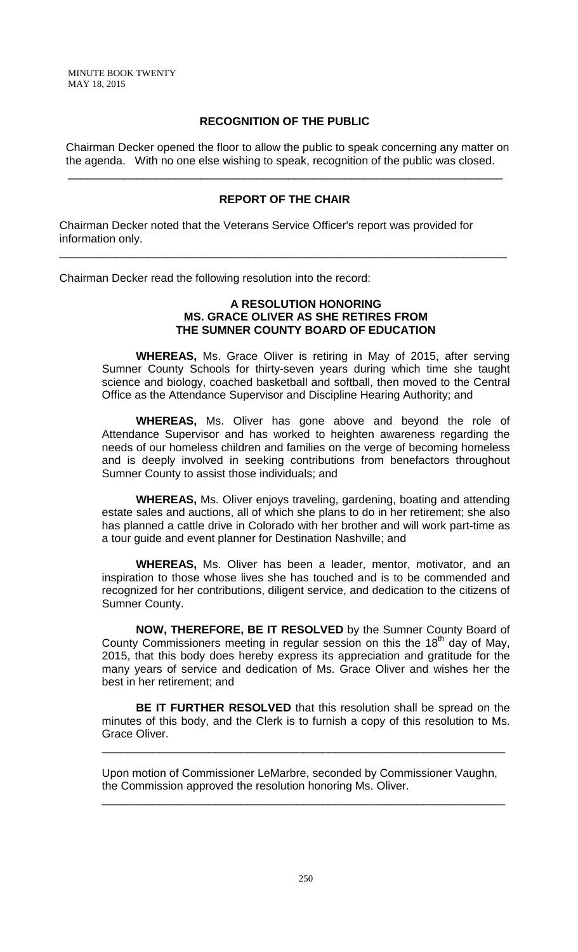## **RECOGNITION OF THE PUBLIC**

 Chairman Decker opened the floor to allow the public to speak concerning any matter on the agenda. With no one else wishing to speak, recognition of the public was closed.

## **REPORT OF THE CHAIR**

\_\_\_\_\_\_\_\_\_\_\_\_\_\_\_\_\_\_\_\_\_\_\_\_\_\_\_\_\_\_\_\_\_\_\_\_\_\_\_\_\_\_\_\_\_\_\_\_\_\_\_\_\_\_\_\_\_\_\_\_\_\_\_\_\_\_\_\_\_\_\_

\_\_\_\_\_\_\_\_\_\_\_\_\_\_\_\_\_\_\_\_\_\_\_\_\_\_\_\_\_\_\_\_\_\_\_\_\_\_\_\_\_\_\_\_\_\_\_\_\_\_\_\_\_\_\_\_\_\_\_\_\_\_\_\_\_\_\_\_\_

Chairman Decker noted that the Veterans Service Officer's report was provided for information only.

Chairman Decker read the following resolution into the record:

#### **A RESOLUTION HONORING MS. GRACE OLIVER AS SHE RETIRES FROM THE SUMNER COUNTY BOARD OF EDUCATION**

**WHEREAS,** Ms. Grace Oliver is retiring in May of 2015, after serving Sumner County Schools for thirty-seven years during which time she taught science and biology, coached basketball and softball, then moved to the Central Office as the Attendance Supervisor and Discipline Hearing Authority; and

**WHEREAS,** Ms. Oliver has gone above and beyond the role of Attendance Supervisor and has worked to heighten awareness regarding the needs of our homeless children and families on the verge of becoming homeless and is deeply involved in seeking contributions from benefactors throughout Sumner County to assist those individuals; and

**WHEREAS,** Ms. Oliver enjoys traveling, gardening, boating and attending estate sales and auctions, all of which she plans to do in her retirement; she also has planned a cattle drive in Colorado with her brother and will work part-time as a tour guide and event planner for Destination Nashville; and

**WHEREAS,** Ms. Oliver has been a leader, mentor, motivator, and an inspiration to those whose lives she has touched and is to be commended and recognized for her contributions, diligent service, and dedication to the citizens of Sumner County.

**NOW, THEREFORE, BE IT RESOLVED** by the Sumner County Board of County Commissioners meeting in regular session on this the 18<sup>th</sup> day of May, 2015, that this body does hereby express its appreciation and gratitude for the many years of service and dedication of Ms. Grace Oliver and wishes her the best in her retirement; and

**BE IT FURTHER RESOLVED** that this resolution shall be spread on the minutes of this body, and the Clerk is to furnish a copy of this resolution to Ms. Grace Oliver.

\_\_\_\_\_\_\_\_\_\_\_\_\_\_\_\_\_\_\_\_\_\_\_\_\_\_\_\_\_\_\_\_\_\_\_\_\_\_\_\_\_\_\_\_\_\_\_\_\_\_\_\_\_\_\_\_\_\_\_\_\_\_\_\_

Upon motion of Commissioner LeMarbre, seconded by Commissioner Vaughn, the Commission approved the resolution honoring Ms. Oliver.

\_\_\_\_\_\_\_\_\_\_\_\_\_\_\_\_\_\_\_\_\_\_\_\_\_\_\_\_\_\_\_\_\_\_\_\_\_\_\_\_\_\_\_\_\_\_\_\_\_\_\_\_\_\_\_\_\_\_\_\_\_\_\_\_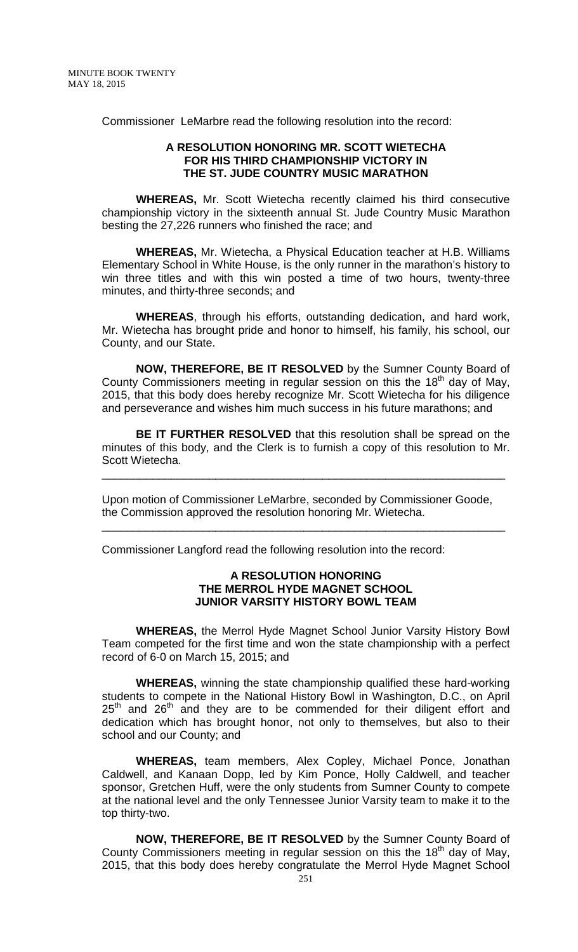Commissioner LeMarbre read the following resolution into the record:

#### **A RESOLUTION HONORING MR. SCOTT WIETECHA FOR HIS THIRD CHAMPIONSHIP VICTORY IN THE ST. JUDE COUNTRY MUSIC MARATHON**

**WHEREAS,** Mr. Scott Wietecha recently claimed his third consecutive championship victory in the sixteenth annual St. Jude Country Music Marathon besting the 27,226 runners who finished the race; and

**WHEREAS,** Mr. Wietecha, a Physical Education teacher at H.B. Williams Elementary School in White House, is the only runner in the marathon's history to win three titles and with this win posted a time of two hours, twenty-three minutes, and thirty-three seconds; and

**WHEREAS**, through his efforts, outstanding dedication, and hard work, Mr. Wietecha has brought pride and honor to himself, his family, his school, our County, and our State.

**NOW, THEREFORE, BE IT RESOLVED** by the Sumner County Board of County Commissioners meeting in regular session on this the  $18<sup>th</sup>$  day of May, 2015, that this body does hereby recognize Mr. Scott Wietecha for his diligence and perseverance and wishes him much success in his future marathons; and

**BE IT FURTHER RESOLVED** that this resolution shall be spread on the minutes of this body, and the Clerk is to furnish a copy of this resolution to Mr. Scott Wietecha.

\_\_\_\_\_\_\_\_\_\_\_\_\_\_\_\_\_\_\_\_\_\_\_\_\_\_\_\_\_\_\_\_\_\_\_\_\_\_\_\_\_\_\_\_\_\_\_\_\_\_\_\_\_\_\_\_\_\_\_\_\_\_\_\_

Upon motion of Commissioner LeMarbre, seconded by Commissioner Goode, the Commission approved the resolution honoring Mr. Wietecha.

\_\_\_\_\_\_\_\_\_\_\_\_\_\_\_\_\_\_\_\_\_\_\_\_\_\_\_\_\_\_\_\_\_\_\_\_\_\_\_\_\_\_\_\_\_\_\_\_\_\_\_\_\_\_\_\_\_\_\_\_\_\_\_\_

Commissioner Langford read the following resolution into the record:

#### **A RESOLUTION HONORING THE MERROL HYDE MAGNET SCHOOL JUNIOR VARSITY HISTORY BOWL TEAM**

**WHEREAS,** the Merrol Hyde Magnet School Junior Varsity History Bowl Team competed for the first time and won the state championship with a perfect record of 6-0 on March 15, 2015; and

**WHEREAS,** winning the state championship qualified these hard-working students to compete in the National History Bowl in Washington, D.C., on April  $25<sup>th</sup>$  and  $26<sup>th</sup>$  and they are to be commended for their diligent effort and dedication which has brought honor, not only to themselves, but also to their school and our County; and

**WHEREAS,** team members, Alex Copley, Michael Ponce, Jonathan Caldwell, and Kanaan Dopp, led by Kim Ponce, Holly Caldwell, and teacher sponsor, Gretchen Huff, were the only students from Sumner County to compete at the national level and the only Tennessee Junior Varsity team to make it to the top thirty-two.

**NOW, THEREFORE, BE IT RESOLVED** by the Sumner County Board of County Commissioners meeting in regular session on this the  $18<sup>th</sup>$  day of May, 2015, that this body does hereby congratulate the Merrol Hyde Magnet School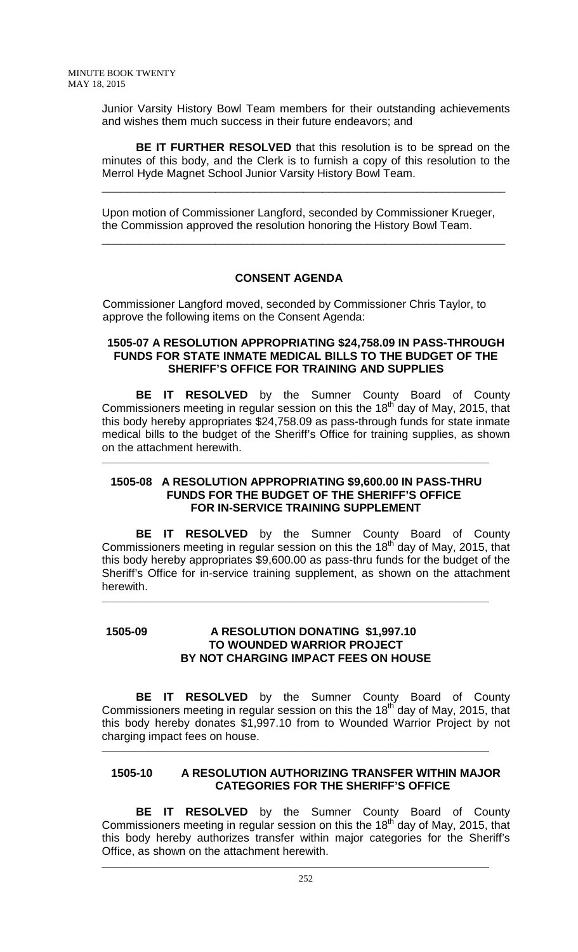Junior Varsity History Bowl Team members for their outstanding achievements and wishes them much success in their future endeavors; and

**BE IT FURTHER RESOLVED** that this resolution is to be spread on the minutes of this body, and the Clerk is to furnish a copy of this resolution to the Merrol Hyde Magnet School Junior Varsity History Bowl Team.

\_\_\_\_\_\_\_\_\_\_\_\_\_\_\_\_\_\_\_\_\_\_\_\_\_\_\_\_\_\_\_\_\_\_\_\_\_\_\_\_\_\_\_\_\_\_\_\_\_\_\_\_\_\_\_\_\_\_\_\_\_\_\_\_

Upon motion of Commissioner Langford, seconded by Commissioner Krueger, the Commission approved the resolution honoring the History Bowl Team.

\_\_\_\_\_\_\_\_\_\_\_\_\_\_\_\_\_\_\_\_\_\_\_\_\_\_\_\_\_\_\_\_\_\_\_\_\_\_\_\_\_\_\_\_\_\_\_\_\_\_\_\_\_\_\_\_\_\_\_\_\_\_\_\_

# **CONSENT AGENDA**

Commissioner Langford moved, seconded by Commissioner Chris Taylor, to approve the following items on the Consent Agenda:

#### **1505-07 A RESOLUTION APPROPRIATING \$24,758.09 IN PASS-THROUGH FUNDS FOR STATE INMATE MEDICAL BILLS TO THE BUDGET OF THE SHERIFF'S OFFICE FOR TRAINING AND SUPPLIES**

**BE IT RESOLVED** by the Sumner County Board of County Commissioners meeting in regular session on this the 18<sup>th</sup> day of May, 2015, that this body hereby appropriates \$24,758.09 as pass-through funds for state inmate medical bills to the budget of the Sheriff's Office for training supplies, as shown on the attachment herewith.

## **1505-08 A RESOLUTION APPROPRIATING \$9,600.00 IN PASS-THRU FUNDS FOR THE BUDGET OF THE SHERIFF'S OFFICE FOR IN-SERVICE TRAINING SUPPLEMENT**

\_\_\_\_\_\_\_\_\_\_\_\_\_\_\_\_\_\_\_\_\_\_\_\_\_\_\_\_\_\_\_\_\_\_\_\_\_\_\_\_\_\_\_\_\_\_\_\_\_\_\_\_\_\_\_\_\_\_\_\_\_\_\_\_\_\_\_\_\_\_\_\_\_\_\_\_\_\_\_\_\_\_

**BE IT RESOLVED** by the Sumner County Board of County Commissioners meeting in regular session on this the  $18<sup>th</sup>$  day of May, 2015, that this body hereby appropriates \$9,600.00 as pass-thru funds for the budget of the Sheriff's Office for in-service training supplement, as shown on the attachment herewith.

\_\_\_\_\_\_\_\_\_\_\_\_\_\_\_\_\_\_\_\_\_\_\_\_\_\_\_\_\_\_\_\_\_\_\_\_\_\_\_\_\_\_\_\_\_\_\_\_\_\_\_\_\_\_\_\_\_\_\_\_\_\_\_\_\_\_\_\_\_\_\_\_\_\_\_\_\_\_\_\_\_\_

## **1505-09 A RESOLUTION DONATING \$1,997.10 TO WOUNDED WARRIOR PROJECT BY NOT CHARGING IMPACT FEES ON HOUSE**

**BE IT RESOLVED** by the Sumner County Board of County Commissioners meeting in regular session on this the 18<sup>th</sup> day of May, 2015, that this body hereby donates \$1,997.10 from to Wounded Warrior Project by not charging impact fees on house.

## **1505-10 A RESOLUTION AUTHORIZING TRANSFER WITHIN MAJOR CATEGORIES FOR THE SHERIFF'S OFFICE**

\_\_\_\_\_\_\_\_\_\_\_\_\_\_\_\_\_\_\_\_\_\_\_\_\_\_\_\_\_\_\_\_\_\_\_\_\_\_\_\_\_\_\_\_\_\_\_\_\_\_\_\_\_\_\_\_\_\_\_\_\_\_\_\_\_\_\_\_\_\_\_\_\_\_\_\_\_\_\_\_\_\_

**BE IT RESOLVED** by the Sumner County Board of County Commissioners meeting in regular session on this the  $18<sup>th</sup>$  day of May, 2015, that this body hereby authorizes transfer within major categories for the Sheriff's Office, as shown on the attachment herewith.

\_\_\_\_\_\_\_\_\_\_\_\_\_\_\_\_\_\_\_\_\_\_\_\_\_\_\_\_\_\_\_\_\_\_\_\_\_\_\_\_\_\_\_\_\_\_\_\_\_\_\_\_\_\_\_\_\_\_\_\_\_\_\_\_\_\_\_\_\_\_\_\_\_\_\_\_\_\_\_\_\_\_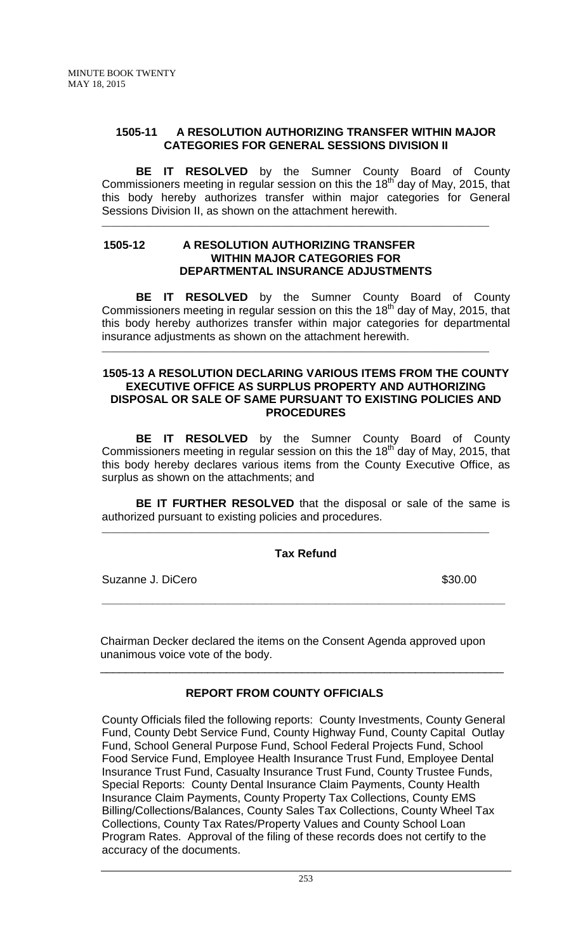## **1505-11 A RESOLUTION AUTHORIZING TRANSFER WITHIN MAJOR CATEGORIES FOR GENERAL SESSIONS DIVISION II**

**BE IT RESOLVED** by the Sumner County Board of County Commissioners meeting in regular session on this the 18<sup>th</sup> day of May, 2015, that this body hereby authorizes transfer within major categories for General Sessions Division II, as shown on the attachment herewith.

\_\_\_\_\_\_\_\_\_\_\_\_\_\_\_\_\_\_\_\_\_\_\_\_\_\_\_\_\_\_\_\_\_\_\_\_\_\_\_\_\_\_\_\_\_\_\_\_\_\_\_\_\_\_\_\_\_\_\_\_\_\_\_\_\_\_\_\_\_\_\_\_\_\_\_\_\_\_\_\_\_\_

### **1505-12 A RESOLUTION AUTHORIZING TRANSFER WITHIN MAJOR CATEGORIES FOR DEPARTMENTAL INSURANCE ADJUSTMENTS**

**BE IT RESOLVED** by the Sumner County Board of County Commissioners meeting in regular session on this the  $18<sup>th</sup>$  day of May, 2015, that this body hereby authorizes transfer within major categories for departmental insurance adjustments as shown on the attachment herewith.

\_\_\_\_\_\_\_\_\_\_\_\_\_\_\_\_\_\_\_\_\_\_\_\_\_\_\_\_\_\_\_\_\_\_\_\_\_\_\_\_\_\_\_\_\_\_\_\_\_\_\_\_\_\_\_\_\_\_\_\_\_\_\_\_\_\_\_\_\_\_\_\_\_\_\_\_\_\_\_\_\_\_

#### **1505-13 A RESOLUTION DECLARING VARIOUS ITEMS FROM THE COUNTY EXECUTIVE OFFICE AS SURPLUS PROPERTY AND AUTHORIZING DISPOSAL OR SALE OF SAME PURSUANT TO EXISTING POLICIES AND PROCEDURES**

**BE IT RESOLVED** by the Sumner County Board of County Commissioners meeting in regular session on this the  $18<sup>th</sup>$  day of May, 2015, that this body hereby declares various items from the County Executive Office, as surplus as shown on the attachments; and

**BE IT FURTHER RESOLVED** that the disposal or sale of the same is authorized pursuant to existing policies and procedures.

# **Tax Refund**

**\_\_\_\_\_\_\_\_\_\_\_\_\_\_\_\_\_\_\_\_\_\_\_\_\_\_\_\_\_\_\_\_\_\_\_\_\_\_\_\_\_\_\_\_\_\_\_\_\_\_\_\_\_\_\_\_\_\_\_\_\_\_\_\_**

\_\_\_\_\_\_\_\_\_\_\_\_\_\_\_\_\_\_\_\_\_\_\_\_\_\_\_\_\_\_\_\_\_\_\_\_\_\_\_\_\_\_\_\_\_\_\_\_\_\_\_\_\_\_\_\_\_\_\_\_\_\_\_\_\_\_\_\_\_\_\_\_\_\_\_\_\_\_\_\_\_\_

Suzanne J. DiCero  $$30.00$ 

 Chairman Decker declared the items on the Consent Agenda approved upon unanimous voice vote of the body.

# **REPORT FROM COUNTY OFFICIALS**

\_\_\_\_\_\_\_\_\_\_\_\_\_\_\_\_\_\_\_\_\_\_\_\_\_\_\_\_\_\_\_\_\_\_\_\_\_\_\_\_\_\_\_\_\_\_\_\_\_\_\_\_\_\_\_\_\_\_\_\_\_\_\_\_

County Officials filed the following reports: County Investments, County General Fund, County Debt Service Fund, County Highway Fund, County Capital Outlay Fund, School General Purpose Fund, School Federal Projects Fund, School Food Service Fund, Employee Health Insurance Trust Fund, Employee Dental Insurance Trust Fund, Casualty Insurance Trust Fund, County Trustee Funds, Special Reports: County Dental Insurance Claim Payments, County Health Insurance Claim Payments, County Property Tax Collections, County EMS Billing/Collections/Balances, County Sales Tax Collections, County Wheel Tax Collections, County Tax Rates/Property Values and County School Loan Program Rates. Approval of the filing of these records does not certify to the accuracy of the documents.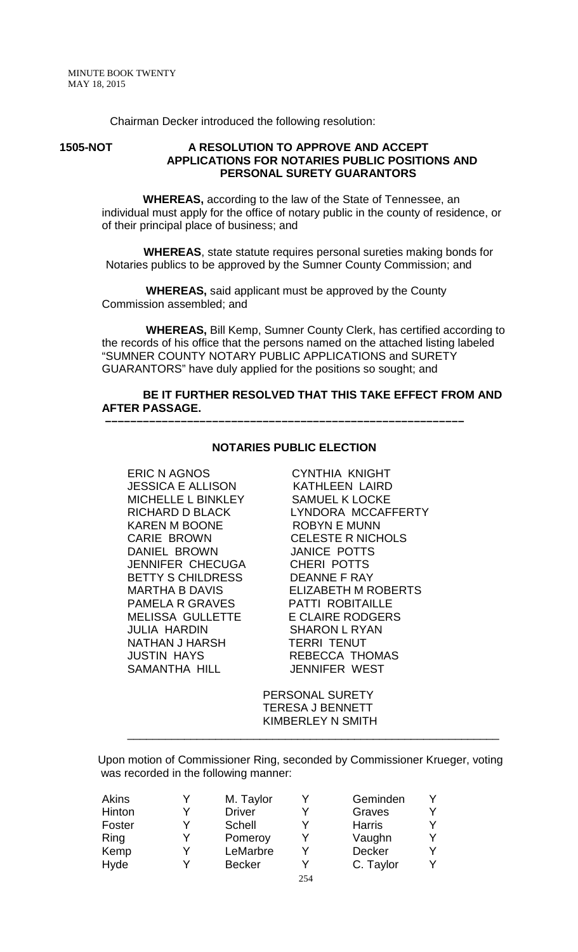Chairman Decker introduced the following resolution:

#### **1505-NOT A RESOLUTION TO APPROVE AND ACCEPT APPLICATIONS FOR NOTARIES PUBLIC POSITIONS AND PERSONAL SURETY GUARANTORS**

 **WHEREAS,** according to the law of the State of Tennessee, an individual must apply for the office of notary public in the county of residence, or of their principal place of business; and

 **WHEREAS**, state statute requires personal sureties making bonds for Notaries publics to be approved by the Sumner County Commission; and

 **WHEREAS,** said applicant must be approved by the County Commission assembled; and

 **WHEREAS,** Bill Kemp, Sumner County Clerk, has certified according to the records of his office that the persons named on the attached listing labeled "SUMNER COUNTY NOTARY PUBLIC APPLICATIONS and SURETY GUARANTORS" have duly applied for the positions so sought; and

#### **BE IT FURTHER RESOLVED THAT THIS TAKE EFFECT FROM AND AFTER PASSAGE.**

#### **NOTARIES PUBLIC ELECTION**

 **–––––––––––––––––––––––––––––––––––––––––––––––––––––––––**

ERIC N AGNOS CYNTHIA KNIGHT JESSICA E ALLISON KATHLEEN LAIRD MICHELLE L BINKLEY KAREN M BOONE ROBYN E MUNN DANIEL BROWN JENNIFER CHECUGA CHERI POTTS BETTY S CHILDRESS DEANNE F RAY PAMELA R GRAVES PATTI ROBITAILLE MELISSA GULLETTE E CLAIRE RODGERS JULIA HARDIN SHARON L RYAN NATHAN J HARSH TERRI TENUT JUSTIN HAYS REBECCA THOMAS SAMANTHA HILL JENNIFER WEST

RICHARD D BLACK LYNDORA MCCAFFERTY CELESTE R NICHOLS<br>JANICE POTTS MARTHA B DAVIS ELIZABETH M ROBERTS

> PERSONAL SURETY TERESA J BENNETT KIMBERLEY N SMITH

\_\_\_\_\_\_\_\_\_\_\_\_\_\_\_\_\_\_\_\_\_\_\_\_\_\_\_\_\_\_\_\_\_\_\_\_\_\_\_\_\_\_\_\_\_\_\_\_\_\_\_\_\_\_\_\_\_\_\_

Upon motion of Commissioner Ring, seconded by Commissioner Krueger, voting was recorded in the following manner:

| Akins  | M. Taylor     |     | Geminden      |   |
|--------|---------------|-----|---------------|---|
| Hinton | <b>Driver</b> |     | Graves        | Y |
| Foster | <b>Schell</b> |     | <b>Harris</b> | Y |
| Ring   | Pomeroy       |     | Vaughn        | Y |
| Kemp   | LeMarbre      |     | Decker        | Y |
| Hyde   | <b>Becker</b> |     | C. Taylor     | Y |
|        |               | 254 |               |   |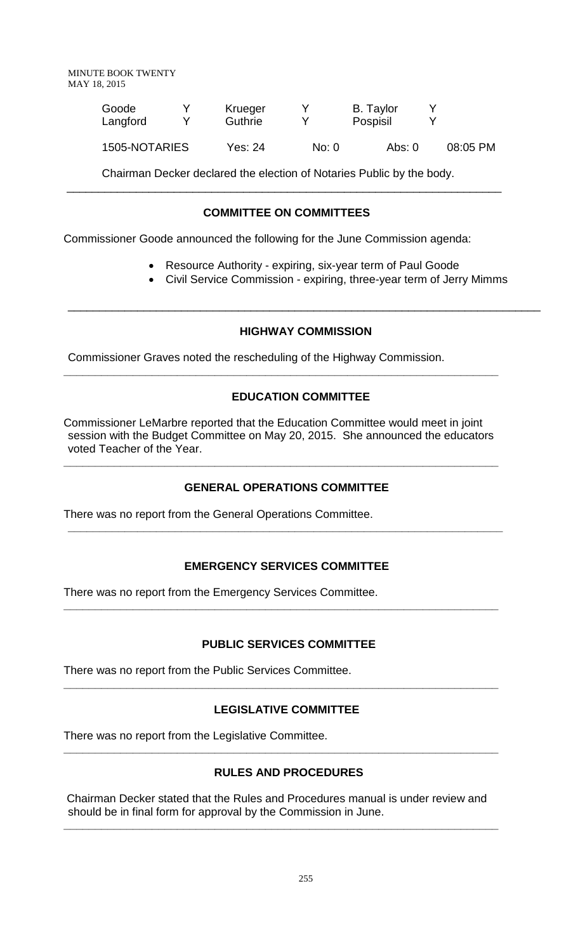| Goode         | Krueger |       | <b>B.</b> Taylor |          |
|---------------|---------|-------|------------------|----------|
| Langford      | Guthrie |       | Pospisil         |          |
| 1505-NOTARIES | Yes: 24 | No: 0 | Abs: 0           | 08:05 PM |

Chairman Decker declared the election of Notaries Public by the body.

# **COMMITTEE ON COMMITTEES**

\_\_\_\_\_\_\_\_\_\_\_\_\_\_\_\_\_\_\_\_\_\_\_\_\_\_\_\_\_\_\_\_\_\_\_\_\_\_\_\_\_\_\_\_\_\_\_\_\_\_\_\_\_\_\_\_\_\_\_\_\_\_\_\_\_\_\_\_\_

Commissioner Goode announced the following for the June Commission agenda:

- Resource Authority expiring, six-year term of Paul Goode
- Civil Service Commission expiring, three-year term of Jerry Mimms

# **HIGHWAY COMMISSION**

\_\_\_\_\_\_\_\_\_\_\_\_\_\_\_\_\_\_\_\_\_\_\_\_\_\_\_\_\_\_\_\_\_\_\_\_\_\_\_\_\_\_\_\_\_\_\_\_\_\_\_\_\_\_\_\_\_\_\_\_\_\_\_\_\_\_\_\_\_\_\_\_\_\_\_

Commissioner Graves noted the rescheduling of the Highway Commission.

# **EDUCATION COMMITTEE**

Commissioner LeMarbre reported that the Education Committee would meet in joint session with the Budget Committee on May 20, 2015. She announced the educators voted Teacher of the Year.

**\_\_\_\_\_\_\_\_\_\_\_\_\_\_\_\_\_\_\_\_\_\_\_\_\_\_\_\_\_\_\_\_\_\_\_\_\_\_\_\_\_\_\_\_\_\_\_\_\_\_\_\_\_\_\_\_\_\_\_\_\_\_\_\_\_\_\_\_\_**

**\_\_\_\_\_\_\_\_\_\_\_\_\_\_\_\_\_\_\_\_\_\_\_\_\_\_\_\_\_\_\_\_\_\_\_\_\_\_\_\_\_\_\_\_\_\_\_\_\_\_\_\_\_\_\_\_\_\_\_\_\_\_\_\_\_\_\_\_\_**

# **GENERAL OPERATIONS COMMITTEE**

There was no report from the General Operations Committee.

# **EMERGENCY SERVICES COMMITTEE**

**\_\_\_\_\_\_\_\_\_\_\_\_\_\_\_\_\_\_\_\_\_\_\_\_\_\_\_\_\_\_\_\_\_\_\_\_\_\_\_\_\_\_\_\_\_\_\_\_\_\_\_\_\_\_\_\_\_\_\_\_\_\_\_\_\_\_\_\_\_**

**\_\_\_\_\_\_\_\_\_\_\_\_\_\_\_\_\_\_\_\_\_\_\_\_\_\_\_\_\_\_\_\_\_\_\_\_\_\_\_\_\_\_\_\_\_\_\_\_\_\_\_\_\_\_\_\_\_\_\_\_\_\_\_\_\_\_\_\_\_**

There was no report from the Emergency Services Committee.

# **PUBLIC SERVICES COMMITTEE**

There was no report from the Public Services Committee.

# **LEGISLATIVE COMMITTEE**

**\_\_\_\_\_\_\_\_\_\_\_\_\_\_\_\_\_\_\_\_\_\_\_\_\_\_\_\_\_\_\_\_\_\_\_\_\_\_\_\_\_\_\_\_\_\_\_\_\_\_\_\_\_\_\_\_\_\_\_\_\_\_\_\_\_\_\_\_\_**

There was no report from the Legislative Committee.

# **RULES AND PROCEDURES**

**\_\_\_\_\_\_\_\_\_\_\_\_\_\_\_\_\_\_\_\_\_\_\_\_\_\_\_\_\_\_\_\_\_\_\_\_\_\_\_\_\_\_\_\_\_\_\_\_\_\_\_\_\_\_\_\_\_\_\_\_\_\_\_\_\_\_\_\_\_**

Chairman Decker stated that the Rules and Procedures manual is under review and should be in final form for approval by the Commission in June.

**\_\_\_\_\_\_\_\_\_\_\_\_\_\_\_\_\_\_\_\_\_\_\_\_\_\_\_\_\_\_\_\_\_\_\_\_\_\_\_\_\_\_\_\_\_\_\_\_\_\_\_\_\_\_\_\_\_\_\_\_\_\_\_\_\_\_\_\_\_**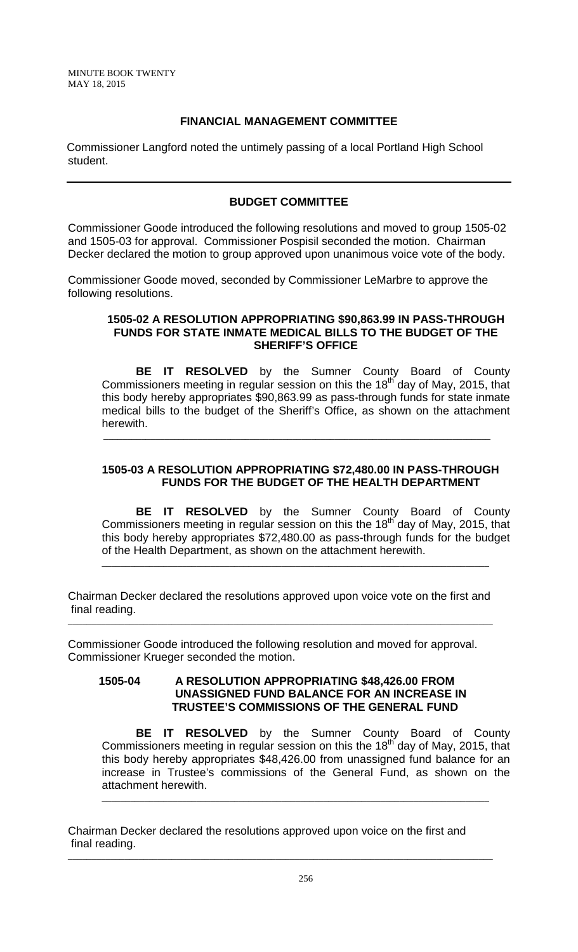## **FINANCIAL MANAGEMENT COMMITTEE**

Commissioner Langford noted the untimely passing of a local Portland High School student.

## **BUDGET COMMITTEE**

Commissioner Goode introduced the following resolutions and moved to group 1505-02 and 1505-03 for approval. Commissioner Pospisil seconded the motion. Chairman Decker declared the motion to group approved upon unanimous voice vote of the body.

Commissioner Goode moved, seconded by Commissioner LeMarbre to approve the following resolutions.

\_\_\_\_\_\_\_\_\_\_\_\_\_\_\_\_\_\_\_\_\_\_\_\_\_\_\_\_\_\_\_\_\_\_\_\_\_\_\_\_\_\_\_\_\_\_\_\_\_\_\_\_\_\_\_\_\_\_\_\_\_\_\_\_\_\_\_\_\_\_\_\_\_\_\_\_\_\_\_\_\_\_

#### **1505-02 A RESOLUTION APPROPRIATING \$90,863.99 IN PASS-THROUGH FUNDS FOR STATE INMATE MEDICAL BILLS TO THE BUDGET OF THE SHERIFF'S OFFICE**

**BE IT RESOLVED** by the Sumner County Board of County Commissioners meeting in regular session on this the 18<sup>th</sup> day of May, 2015, that this body hereby appropriates \$90,863.99 as pass-through funds for state inmate medical bills to the budget of the Sheriff's Office, as shown on the attachment herewith.

## **1505-03 A RESOLUTION APPROPRIATING \$72,480.00 IN PASS-THROUGH FUNDS FOR THE BUDGET OF THE HEALTH DEPARTMENT**

**BE IT RESOLVED** by the Sumner County Board of County Commissioners meeting in regular session on this the 18<sup>th</sup> day of May, 2015, that this body hereby appropriates \$72,480.00 as pass-through funds for the budget of the Health Department, as shown on the attachment herewith.

\_\_\_\_\_\_\_\_\_\_\_\_\_\_\_\_\_\_\_\_\_\_\_\_\_\_\_\_\_\_\_\_\_\_\_\_\_\_\_\_\_\_\_\_\_\_\_\_\_\_\_\_\_\_\_\_\_\_\_\_\_\_\_\_\_\_\_\_\_\_\_\_\_\_\_\_\_\_\_\_\_\_

Chairman Decker declared the resolutions approved upon voice vote on the first and final reading. \_\_\_\_\_\_\_\_\_\_\_\_\_\_\_\_\_\_\_\_\_\_\_\_\_\_\_\_\_\_\_\_\_\_\_\_\_\_\_\_\_\_\_\_\_\_\_\_\_\_\_\_\_\_\_\_\_\_\_\_\_\_\_\_\_\_\_\_\_\_\_\_\_\_\_\_\_\_\_\_\_\_\_\_\_\_\_\_\_\_

Commissioner Goode introduced the following resolution and moved for approval. Commissioner Krueger seconded the motion.

## **1505-04 A RESOLUTION APPROPRIATING \$48,426.00 FROM UNASSIGNED FUND BALANCE FOR AN INCREASE IN TRUSTEE'S COMMISSIONS OF THE GENERAL FUND**

**BE IT RESOLVED** by the Sumner County Board of County Commissioners meeting in regular session on this the  $18<sup>th</sup>$  day of May, 2015, that this body hereby appropriates \$48,426.00 from unassigned fund balance for an increase in Trustee's commissions of the General Fund, as shown on the attachment herewith.

\_\_\_\_\_\_\_\_\_\_\_\_\_\_\_\_\_\_\_\_\_\_\_\_\_\_\_\_\_\_\_\_\_\_\_\_\_\_\_\_\_\_\_\_\_\_\_\_\_\_\_\_\_\_\_\_\_\_\_\_\_\_\_\_\_\_\_\_\_\_\_\_\_\_\_\_\_\_\_\_\_\_

Chairman Decker declared the resolutions approved upon voice on the first and final reading.

\_\_\_\_\_\_\_\_\_\_\_\_\_\_\_\_\_\_\_\_\_\_\_\_\_\_\_\_\_\_\_\_\_\_\_\_\_\_\_\_\_\_\_\_\_\_\_\_\_\_\_\_\_\_\_\_\_\_\_\_\_\_\_\_\_\_\_\_\_\_\_\_\_\_\_\_\_\_\_\_\_\_\_\_\_\_\_\_\_\_